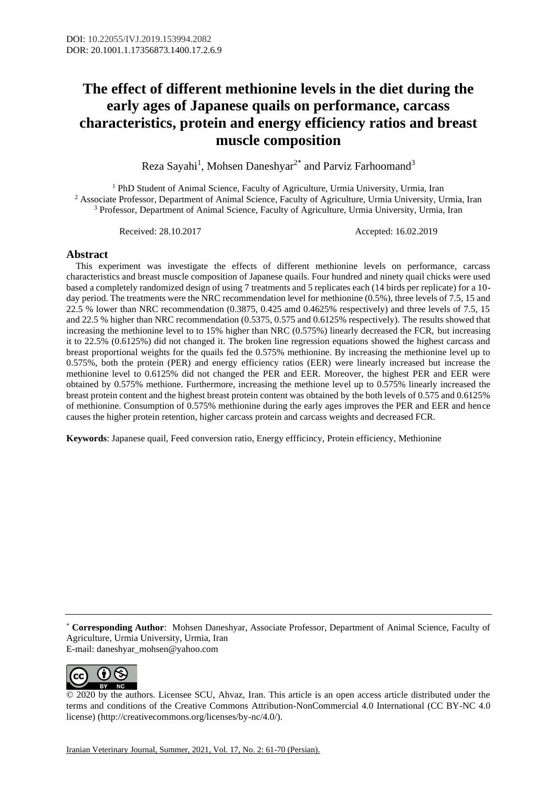## **The effect of different methionine levels in the diet during the early ages of Japanese quails on performance, carcass characteristics, protein and energy efficiency ratios and breast muscle composition**

Reza Sayahi<sup>1</sup>, Mohsen Daneshyar<sup>2\*</sup> and Parviz Farhoomand<sup>3</sup>

<sup>1</sup> PhD Student of Animal Science, Faculty of Agriculture, Urmia University, Urmia, Iran <sup>2</sup> Associate Professor, Department of Animal Science, Faculty of Agriculture, Urmia University, Urmia, Iran <sup>3</sup> Professor, Department of Animal Science, Faculty of Agriculture, Urmia University, Urmia, Iran

Received: 28.10.2017 Accepted: 16.02.2019

## **Abstract**

 This experiment was investigate the effects of different methionine levels on performance, carcass characteristics and breast muscle composition of Japanese quails. Four hundred and ninety quail chicks were used based a completely randomized design of using 7 treatments and 5 replicates each (14 birds per replicate) for a 10 day period. The treatments were the NRC recommendation level for methionine (0.5%), three levels of 7.5, 15 and 22.5 % lower than NRC recommendation (0.3875, 0.425 amd 0.4625% respectively) and three levels of 7.5, 15 and 22.5 % higher than NRC recommendation (0.5375, 0.575 and 0.6125% respectively).The results showed that increasing the methionine level to to 15% higher than NRC (0.575%) linearly decreased the FCR,but increasing it to 22.5% (0.6125%) did not changed it. The broken line regression equations showed the highest carcass and breast proportional weights for the quails fed the 0.575% methionine. By increasing the methionine level up to 0.575%, both the protein (PER) and energy efficiency ratios (EER) were linearly increased but increase the methionine level to 0.6125% did not changed the PER and EER. Moreover, the highest PER and EER were obtained by 0.575% methione. Furthermore, increasing the methione level up to 0.575% linearly increased the breast protein content and the highest breast protein content was obtained by the both levels of 0.575 and 0.6125% of methionine. Consumption of 0.575% methionine during the early ages improves the PER and EER and hence causes the higher protein retention, higher carcass protein and carcass weights and decreased FCR.

**Keywords**: Japanese quail, Feed conversion ratio, Energy effficincy, Protein efficiency, Methionine

\* **Corresponding Author**: Mohsen Daneshyar, Associate Professor, Department of Animal Science, Faculty of Agriculture, Urmia University, Urmia, Iran E-mail: daneshyar\_mohsen@yahoo.com



<sup>© 2020</sup> by the authors. Licensee SCU, Ahvaz, Iran. This article is an open access article distributed under the terms and conditions of the Creative Commons Attribution-NonCommercial 4.0 International (CC BY-NC 4.0 license) (http://creativecommons.org/licenses/by-nc/4.0/).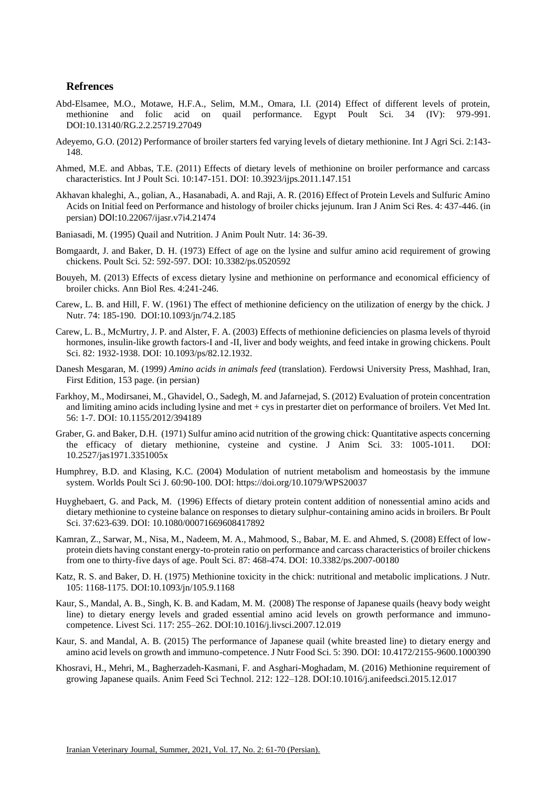## **Refrences**

- Abd-Elsamee, M.O., Motawe, H.F.A., Selim, M.M., Omara, I.I. (2014) Effect of different levels of protein, methionine and folic acid on quail performance. Egypt Poult Sci. 34 (IV): 979-991. DOI[:10.13140/RG.2.2.25719.27049](http://dx.doi.org/10.13140/RG.2.2.25719.27049)
- Adeyemo, G.O. (2012) Performance of broiler starters fed varying levels of dietary methionine. Int J Agri Sci. 2:143- 148.
- Ahmed, M.E. and Abbas, T.E. (2011) Effects of dietary levels of methionine on broiler performance and carcass characteristics. Int J Poult Sci. 10:147-151. DOI[: 10.3923/ijps.2011.147.151](https://dx.doi.org/10.3923/ijps.2011.147.151)
- Akhavan khaleghi, A., golian, A., Hasanabadi, A. and Raji, A. R. (2016) Effect of Protein Levels and Sulfuric Amino Acids on Initial feed on Performance and histology of broiler chicks jejunum. Iran J Anim Sci Res. 4: 437-446. (in persian) DOI:[10.22067/ijasr.v7i4.21474](https://dx.doi.org/10.22067/ijasr.v7i4.21474)
- Baniasadi, M. (1995) Quail and Nutrition. J Anim Poult Nutr. 14: 36-39.
- Bomgaardt, J. and Baker, D. H. (1973) Effect of age on the lysine and sulfur amino acid requirement of growing chickens. Poult Sci. 52: 592-597. DOI: [10.3382/ps.0520592](https://doi.org/10.3382/ps.0520592)
- Bouyeh, M. (2013) Effects of excess dietary lysine and methionine on performance and economical efficiency of broiler chicks. Ann Biol Res. 4:241-246.
- Carew, L. B. and Hill, F. W. (1961) The effect of methionine deficiency on the utilization of energy by the chick. J Nutr. 74: 185-190. [DOI:10.1093/jn/74.2.185](https://doi.org/10.1093/jn/74.2.185)
- Carew, L. B., McMurtry, J. P. and Alster, F. A. (2003) Effects of methionine deficiencies on plasma levels of thyroid hormones, insulin-like growth factors-I and -II, liver and body weights, and feed intake in growing chickens. Poult Sci. 82: 1932-1938. DOI: 10.1093/ps/82.12.1932.
- Danesh Mesgaran, M. (1999*) Amino acids in animals feed* (translation). Ferdowsi University Press, Mashhad, Iran, First Edition, 153 page. (in persian)
- Farkhoy, M., Modirsanei, M., Ghavidel, O., Sadegh, M. and Jafarnejad, S. (2012) Evaluation of protein concentration and limiting amino acids including lysine and met + cys in prestarter diet on performance of broilers. Vet Med Int. 56: 1-7. DOI: [10.1155/2012/394189](https://dx.doi.org/10.1155%2F2012%2F394189)
- Graber, G. and Baker, D.H. (1971) Sulfur amino acid nutrition of the growing chick: Quantitative aspects concerning the efficacy of dietary methionine, cysteine and cystine. J Anim Sci. 33: 1005-1011. DOI: [10.2527/jas1971.3351005x](https://doi.org/10.2527/jas1971.3351005x)
- Humphrey, B.D. and Klasing, K.C. (2004) Modulation of nutrient metabolism and homeostasis by the immune system. Worlds Poult Sci J. 60:90-100. DOI[: https://doi.org/10.1079/WPS20037](https://doi.org/10.1079/WPS20037)
- Huyghebaert, G. and Pack, M. (1996) Effects of dietary protein content addition of nonessential amino acids and dietary methionine to cysteine balance on responses to dietary sulphur-containing amino acids in broilers. Br Poult Sci. 37:623-639. DOI: [10.1080/00071669608417892](https://doi.org/10.1080/00071669608417892)
- Kamran, Z., Sarwar, M., Nisa, M., Nadeem, M. A., Mahmood, S., Babar, M. E. and Ahmed, S. (2008) Effect of lowprotein diets having constant energy-to-protein ratio on performance and carcass characteristics of broiler chickens from one to thirty-five days of age. Poult Sci. 87: 468-474. DOI[: 10.3382/ps.2007-00180](https://doi.org/10.3382/ps.2007-00180)
- Katz, R. S. and Baker, D. H. (1975) Methionine toxicity in the chick: nutritional and metabolic implications. J Nutr. 105: 1168-1175. DOI[:10.1093/jn/105.9.1168](https://doi.org/10.1093/jn/105.9.1168)
- Kaur, S., Mandal, A. B., Singh, K. B. and Kadam, M. M. (2008) The response of Japanese quails (heavy body weight line) to dietary energy levels and graded essential amino acid levels on growth performance and immunocompetence. Livest Sci. 117: 255–262. DOI[:10.1016/j.livsci.2007.12.019](http://dx.doi.org/10.1016/j.livsci.2007.12.019)
- Kaur, S. and Mandal, A. B. (2015) The performance of Japanese quail (white breasted line) to dietary energy and amino acid levels on growth and immuno-competence. J Nutr Food Sci. 5: 390. DOI: 10.4172/2155-9600.1000390
- Khosravi, H., Mehri, M., Bagherzadeh-Kasmani, F. and Asghari-Moghadam, M. (2016) Methionine requirement of growing Japanese quails. Anim Feed Sci Technol. 212: 122–128. DO[I:10.1016/j.anifeedsci.2015.12.017](http://dx.doi.org/10.1016/j.anifeedsci.2015.12.017)